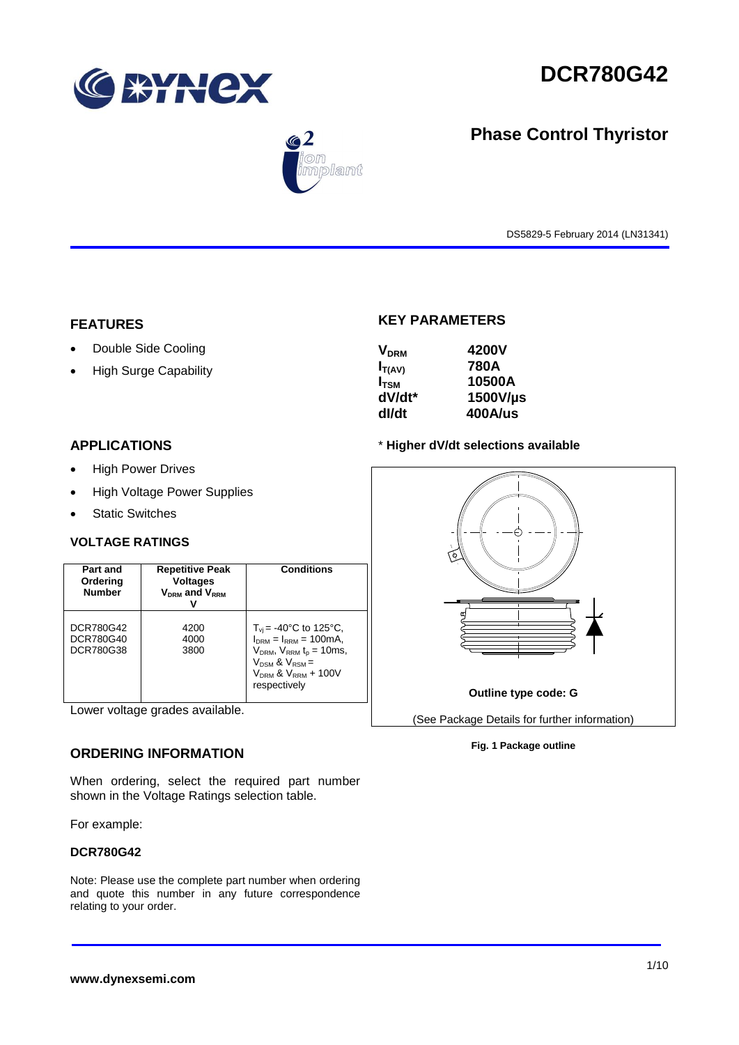

# **DCR780G42**

# $\bf{C}2$ mplant

#### DS5829-5 February 2014 (LN31341)

**Phase Control Thyristor**

# **FEATURES**

- Double Side Cooling
- High Surge Capability

# **KEY PARAMETERS**

| <b>V<sub>DRM</sub></b> | 4200V          |
|------------------------|----------------|
| $I_{T(AV)}$            | 780A           |
| $I_{TSM}$              | 10500A         |
| dV/dt*                 | 1500V/µs       |
| dl/dt                  | <b>400A/us</b> |

# **APPLICATIONS**

- High Power Drives
- High Voltage Power Supplies
- Static Switches

# **VOLTAGE RATINGS**

| Part and<br>Ordering<br><b>Number</b> | <b>Repetitive Peak</b><br><b>Voltages</b><br>$V_{DRM}$ and $V_{RRM}$ | <b>Conditions</b>                                                                                                                                                                         |
|---------------------------------------|----------------------------------------------------------------------|-------------------------------------------------------------------------------------------------------------------------------------------------------------------------------------------|
| DCR780G42<br>DCR780G40<br>DCR780G38   | 4200<br>4000<br>3800                                                 | $T_{\rm vi}$ = -40°C to 125°C,<br>$I_{DRM} = I_{RRM} = 100 \text{mA}$<br>$V_{DRM}$ , $V_{RRM}$ $t_{p}$ = 10ms,<br>$V_{DSM}$ & $V_{RSM}$ =<br>$V_{DRM}$ & $V_{RRM}$ + 100V<br>respectively |

Lower voltage grades available.

# **ORDERING INFORMATION**

When ordering, select the required part number shown in the Voltage Ratings selection table.

For example:

### **DCR780G42**

Note: Please use the complete part number when ordering and quote this number in any future correspondence relating to your order.

# \* **Higher dV/dt selections available**



#### **Fig. 1 Package outline**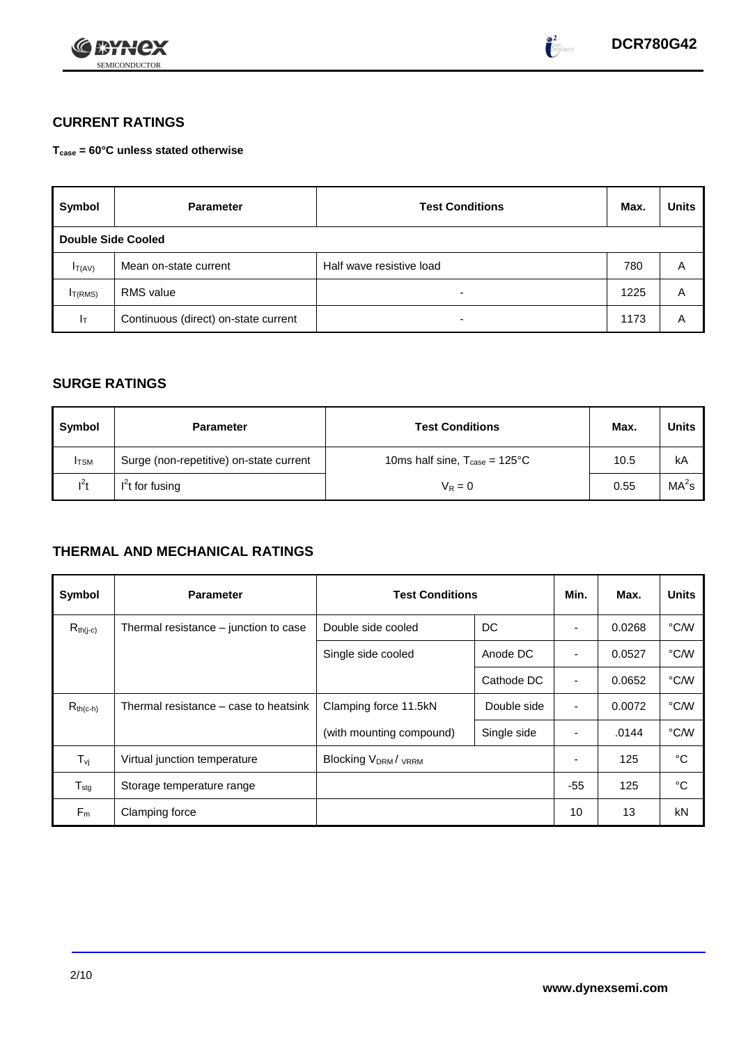



# **CURRENT RATINGS**

**Tcase = 60°C unless stated otherwise**

| Symbol                    | <b>Parameter</b>                     | <b>Test Conditions</b>   | Max. | <b>Units</b> |  |
|---------------------------|--------------------------------------|--------------------------|------|--------------|--|
| <b>Double Side Cooled</b> |                                      |                          |      |              |  |
| $I_{T(AV)}$               | Mean on-state current                | Half wave resistive load | 780  | Α            |  |
| I <sub>T(RMS)</sub>       | <b>RMS</b> value                     | -                        | 1225 | Α            |  |
| Iτ                        | Continuous (direct) on-state current | -                        | 1173 | Α            |  |

# **SURGE RATINGS**

| Symbol       | <b>Parameter</b>                        | <b>Test Conditions</b>                            | Max. | <b>Units</b>      |
|--------------|-----------------------------------------|---------------------------------------------------|------|-------------------|
| <b>I</b> TSM | Surge (non-repetitive) on-state current | 10ms half sine, $T_{\text{case}} = 125^{\circ}$ C | 10.5 | kA                |
| $l^2t$       | $l^2$ t for fusing                      | $V_R = 0$                                         | 0.55 | MA <sup>2</sup> s |

# **THERMAL AND MECHANICAL RATINGS**

| Symbol           | <b>Parameter</b>                      | <b>Test Conditions</b>               | Min.        | Max.                     | <b>Units</b> |      |
|------------------|---------------------------------------|--------------------------------------|-------------|--------------------------|--------------|------|
| $R_{th(j-c)}$    | Thermal resistance – junction to case | Double side cooled                   | DC          |                          | 0.0268       | °C/W |
|                  |                                       | Single side cooled                   | Anode DC    |                          | 0.0527       | °C/W |
|                  |                                       |                                      | Cathode DC  | $\overline{\phantom{a}}$ | 0.0652       | °C/W |
| $R_{th(c-h)}$    | Thermal resistance – case to heatsink | Double side<br>Clamping force 11.5kN |             | $\blacksquare$           | 0.0072       | °C/W |
|                  |                                       | (with mounting compound)             | Single side | $\blacksquare$           | .0144        | °C/W |
| $T_{\rm vj}$     | Virtual junction temperature          | <b>Blocking VDRM/VRRM</b>            |             |                          | 125          | °C   |
| $T_{\text{stg}}$ | Storage temperature range             |                                      |             | $-55$                    | 125          | °C   |
| $F_m$            | Clamping force                        |                                      |             | 10                       | 13           | kN   |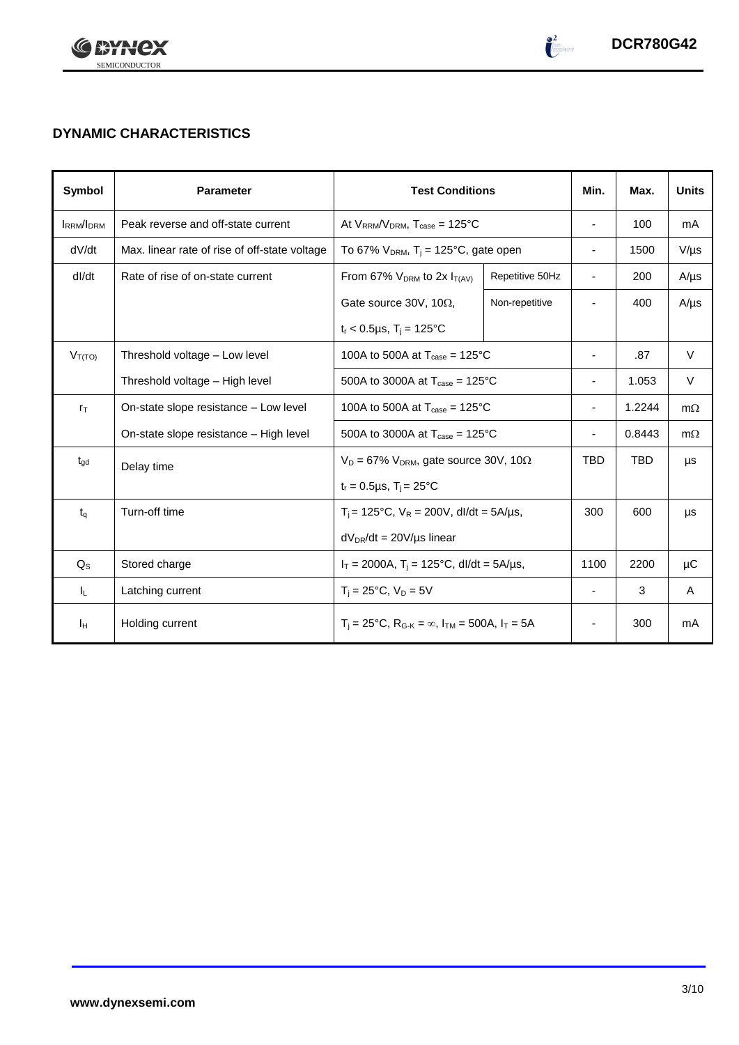

 $\begin{array}{c} 2 \\ 1 \end{array}$ 

# **DYNAMIC CHARACTERISTICS**

| <b>Symbol</b>    | <b>Parameter</b>                              | <b>Test Conditions</b>                                                                          |                 | Min.                     | Max.       | <b>Units</b> |
|------------------|-----------------------------------------------|-------------------------------------------------------------------------------------------------|-----------------|--------------------------|------------|--------------|
| <b>IRRM/IDRM</b> | Peak reverse and off-state current            | At $V_{RRM}/V_{DRM}$ , $T_{case} = 125^{\circ}C$                                                |                 | $\overline{\phantom{a}}$ | 100        | mA           |
| dV/dt            | Max. linear rate of rise of off-state voltage | To 67% $V_{DRM}$ , T <sub>i</sub> = 125°C, gate open                                            |                 | $\overline{\phantom{a}}$ | 1500       | $V/\mu s$    |
| dl/dt            | Rate of rise of on-state current              | From 67% $V_{DRM}$ to 2x $I_{T(AV)}$                                                            | Repetitive 50Hz | $\overline{\phantom{a}}$ | 200        | $A/\mu s$    |
|                  |                                               | Gate source 30V, 10 $\Omega$ ,                                                                  | Non-repetitive  |                          | 400        | $A/\mu s$    |
|                  |                                               | $t_r$ < 0.5µs, T <sub>i</sub> = 125°C                                                           |                 |                          |            |              |
| $V_{T(TO)}$      | Threshold voltage - Low level                 | 100A to 500A at $T_{\text{case}} = 125^{\circ}$ C                                               |                 | $\overline{\phantom{a}}$ | .87        | $\vee$       |
|                  | Threshold voltage - High level                | 500A to 3000A at $T_{\text{case}} = 125^{\circ}C$                                               |                 |                          | 1.053      | V            |
| $r_{\text{T}}$   | On-state slope resistance - Low level         | 100A to 500A at $T_{\text{case}} = 125^{\circ}$ C                                               |                 |                          | 1.2244     | $m\Omega$    |
|                  | On-state slope resistance – High level        | 500A to 3000A at $T_{\text{case}} = 125^{\circ}C$                                               |                 |                          | 0.8443     | $m\Omega$    |
| $t_{\rm gd}$     | Delay time                                    | $V_D = 67\% V_{DRM}$ , gate source 30V, 10 $\Omega$                                             |                 | <b>TBD</b>               | <b>TBD</b> | μs           |
|                  |                                               | $t_r = 0.5 \mu s$ , $T_i = 25^{\circ}C$                                                         |                 |                          |            |              |
| $t_q$            | Turn-off time                                 | $T_i$ = 125°C, $V_R$ = 200V, dl/dt = 5A/µs,                                                     |                 | 300                      | 600        | μs           |
|                  |                                               | $dV_{DR}/dt = 20V/\mu s$ linear                                                                 |                 |                          |            |              |
| $Q_{S}$          | Stored charge                                 | $I_T = 2000A$ , $T_i = 125^{\circ}C$ , dl/dt = 5A/µs,                                           |                 |                          | 2200       | μC           |
| IL.              | Latching current                              | $T_i = 25^{\circ}C$ , $V_D = 5V$                                                                |                 | $\overline{\phantom{a}}$ | 3          | A            |
| Iн               | Holding current                               | $T_i = 25^{\circ}C$ , R <sub>G-K</sub> = $\infty$ , I <sub>TM</sub> = 500A, I <sub>T</sub> = 5A |                 |                          | 300        | mA           |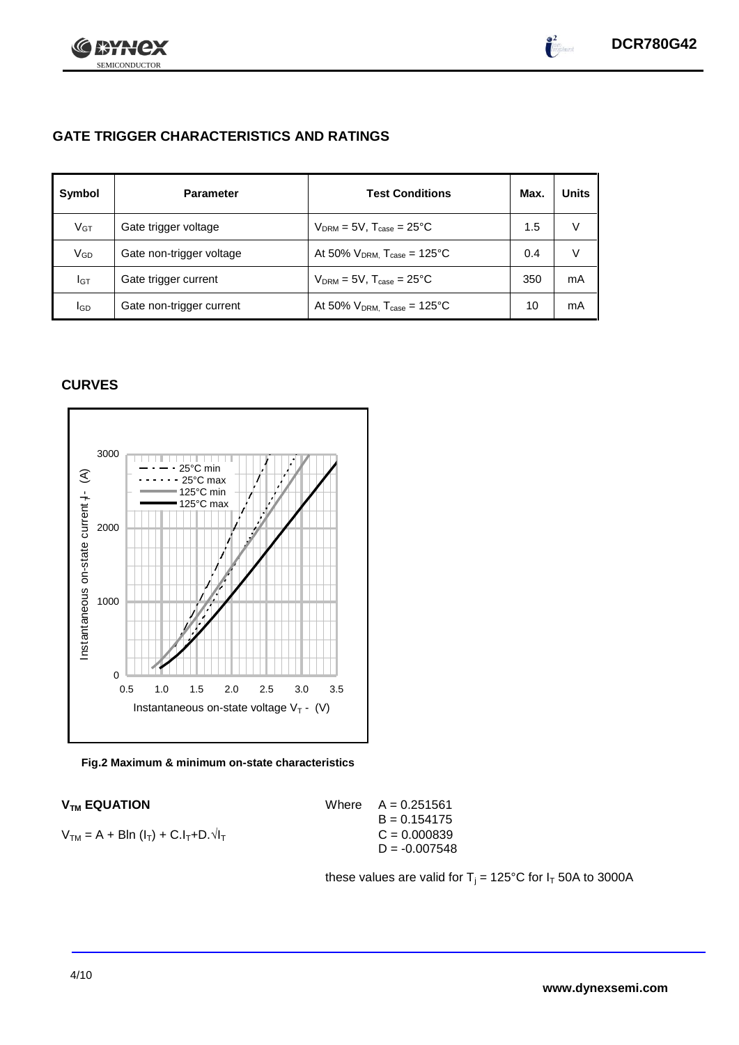

 $\bullet^2$ 

# **GATE TRIGGER CHARACTERISTICS AND RATINGS**

| Symbol          | <b>Parameter</b>         | <b>Test Conditions</b>                       | Max. | <b>Units</b> |
|-----------------|--------------------------|----------------------------------------------|------|--------------|
| V <sub>GT</sub> | Gate trigger voltage     | $V_{DRM}$ = 5V, $T_{case}$ = 25°C            | 1.5  | V            |
| VGD             | Gate non-trigger voltage | At 50% $V_{DRM}$ , $T_{case} = 125^{\circ}C$ | 0.4  | V            |
| IGТ             | Gate trigger current     | $V_{DRM}$ = 5V, $T_{case}$ = 25°C            | 350  | mA           |
| lgp             | Gate non-trigger current | At 50% $V_{DRM}$ , $T_{case} = 125$ °C       | 10   | mA           |

# **CURVES**



**Fig.2 Maximum & minimum on-state characteristics**

$$
V_{TM} = A + B\ln (I_T) + C.I_T + D.\sqrt{I_T}
$$

 $V_{TM}$  **EQUATION** Where  $A = 0.251561$  $B = 0.154175$  $C = 0.000839$  $D = -0.007548$ 

these values are valid for  $T_j = 125^{\circ}C$  for  $I_T$  50A to 3000A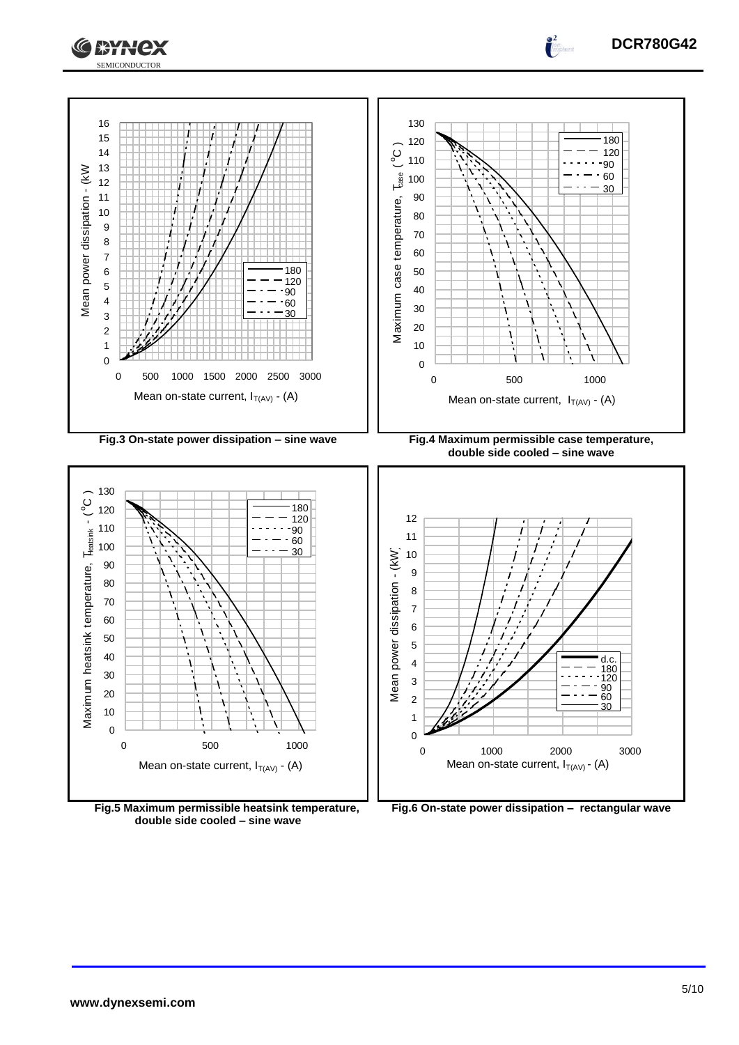

**Fig.5 Maximum permissible heatsink temperature, double side cooled – sine wave**

 500 1000 Mean on-state current,  $I_{T(A\vee)}$  - (A)



 1000 2000 3000 Mean on-state current,  $I_{T(A\vee)}$  - (A)

L.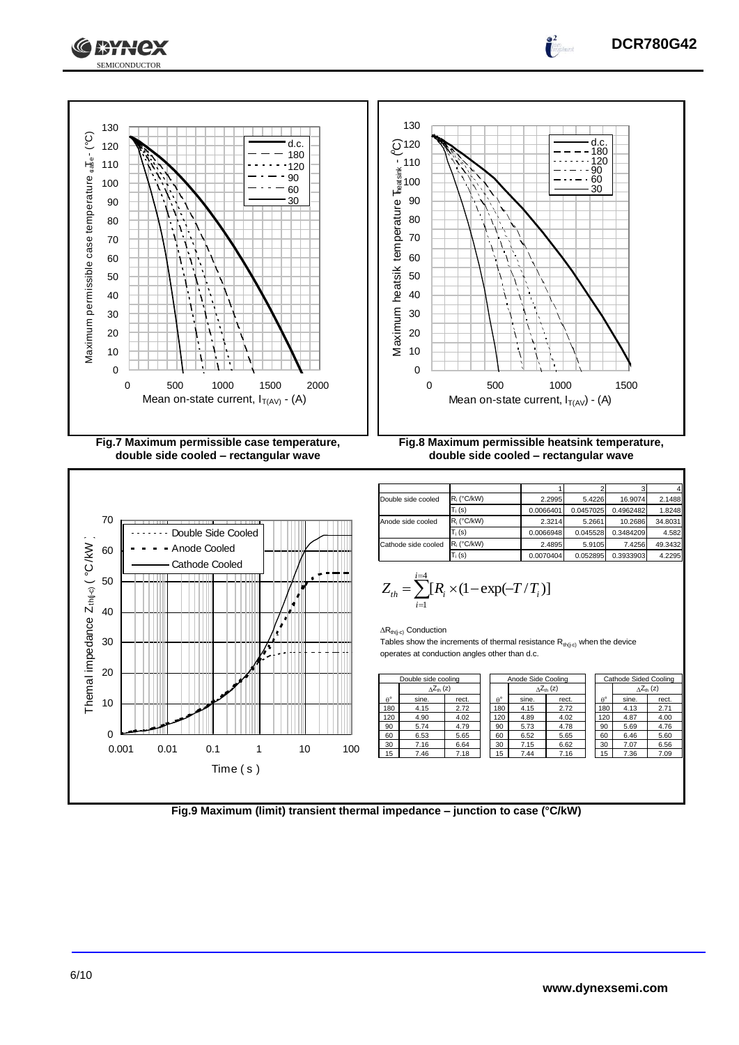



SEMICONDUCTOR



1 2 3 4 Double side cooled Ri (°C/kW) 2.2995 5.4226 16.9074 2.1488 Ti (s) 0.0066401 0.0457025 0.4962482 1.8248 Anode side cooled R<sub>i</sub> (°C/kW) 2.3214 5.2661 10.2686 34.8031  $\begin{array}{|l|c|c|c|c|}\n\hline\n\text{T}_\text{i}\,\text{(s)} & 0.0066948 & 0.045528 & 0.3484209 & 4.582 \\
\text{R}_\text{i}\,\text{(°C/KW)} & 2.4895 & 5.9105 & 7.4256 & 49.3432\n\hline\n\end{array}$ Cathode side cooled Ri (°C/kW) 2.4895 5.9105 7.4256 49.3432  $T_i$  (s)  $\qquad$  0.0070404 0.052895 0.3933903 4.2295

$$
Z_{th} = \sum_{i=1}^{i=4} [R_i \times (1 - \exp(-T/T_i))]
$$

 $\Delta R_{th(j-c)}$  Conduction

Tables show the increments of thermal resistance  $R_{th(j-c)}$  when the device operates at conduction angles other than d.c.

|             | Double side cooling |       | Anode Side Cooling |                  |       | Cathode Sided Cooling     |                  |       |                            |
|-------------|---------------------|-------|--------------------|------------------|-------|---------------------------|------------------|-------|----------------------------|
|             | $\Delta Z_{th}$ (z) |       |                    |                  |       | $\Delta Z_{\text{th}}(z)$ |                  |       | $\Delta Z_{\text{th}}$ (z) |
| $A^{\circ}$ | sine.               | rect. |                    | $\theta^{\circ}$ | sine. | rect.                     | $\theta^{\circ}$ | sine. | rect.                      |
| 180         | 4.15                | 2.72  |                    | 180              | 4.15  | 2.72                      | 180              | 4.13  | 2.71                       |
| 120         | 4.90                | 4.02  |                    | 120              | 4.89  | 4.02                      | 120              | 4.87  | 4.00                       |
| 90          | 5.74                | 4.79  |                    | 90               | 5.73  | 4.78                      | 90               | 5.69  | 4.76                       |
| 60          | 6.53                | 5.65  |                    | 60               | 6.52  | 5.65                      | 60               | 6.46  | 5.60                       |
| 30          | 7.16                | 6.64  |                    | 30               | 7.15  | 6.62                      | 30               | 7.07  | 6.56                       |
| 15          | 7.46                | 7.18  |                    | 15               | 7.44  | 7.16                      | 15               | 7.36  | 7.09                       |

| Cathode Sided Cooling |       |                     |  |  |  |  |  |  |
|-----------------------|-------|---------------------|--|--|--|--|--|--|
|                       |       | $\Delta Z_{th}$ (z) |  |  |  |  |  |  |
| $\theta^{\circ}$      | sine. | rect.               |  |  |  |  |  |  |
| 180                   | 4.13  | 2.71                |  |  |  |  |  |  |
| 120                   | 4.87  | 4.00                |  |  |  |  |  |  |
| 90                    | 5.69  | 4.76                |  |  |  |  |  |  |
| 60                    | 6.46  | 5.60                |  |  |  |  |  |  |
| 30                    | 7.07  | 6.56                |  |  |  |  |  |  |
| 15                    | 7.36  | 7.09                |  |  |  |  |  |  |

**DCR780G42**

**Fig.9 Maximum (limit) transient thermal impedance – junction to case (°C/kW)**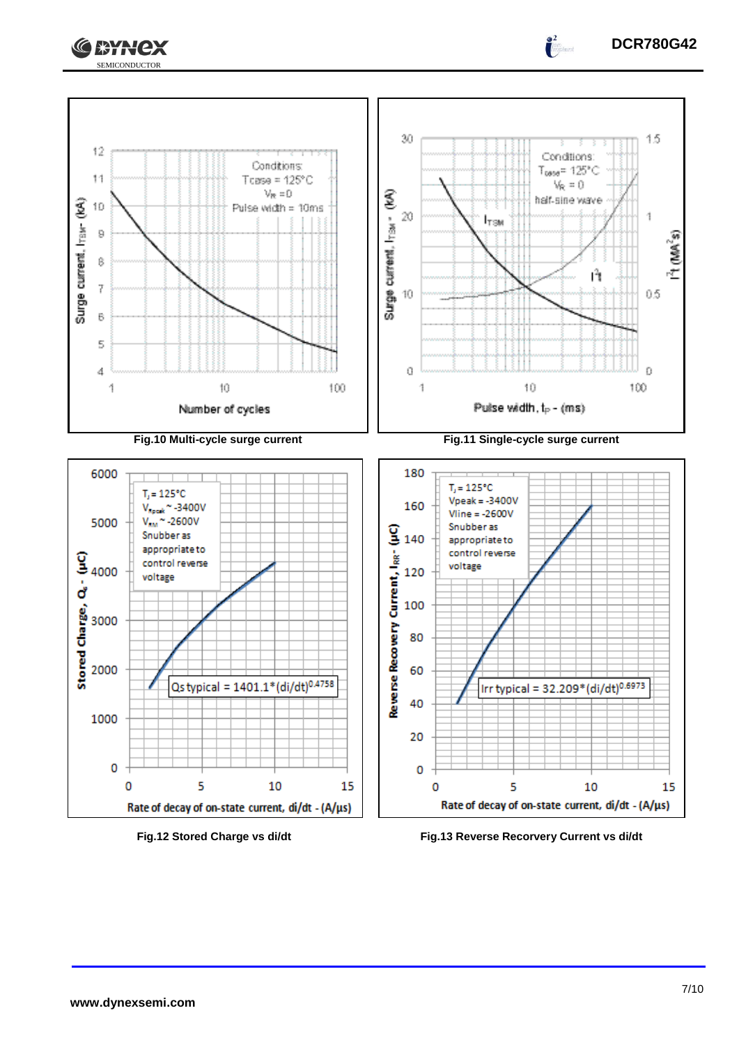



Fig.12 Stored Charge vs di/dt Fig.13 Reverse Recorvery Current vs di/dt

**DCR780G42**

 $\frac{2}{1}$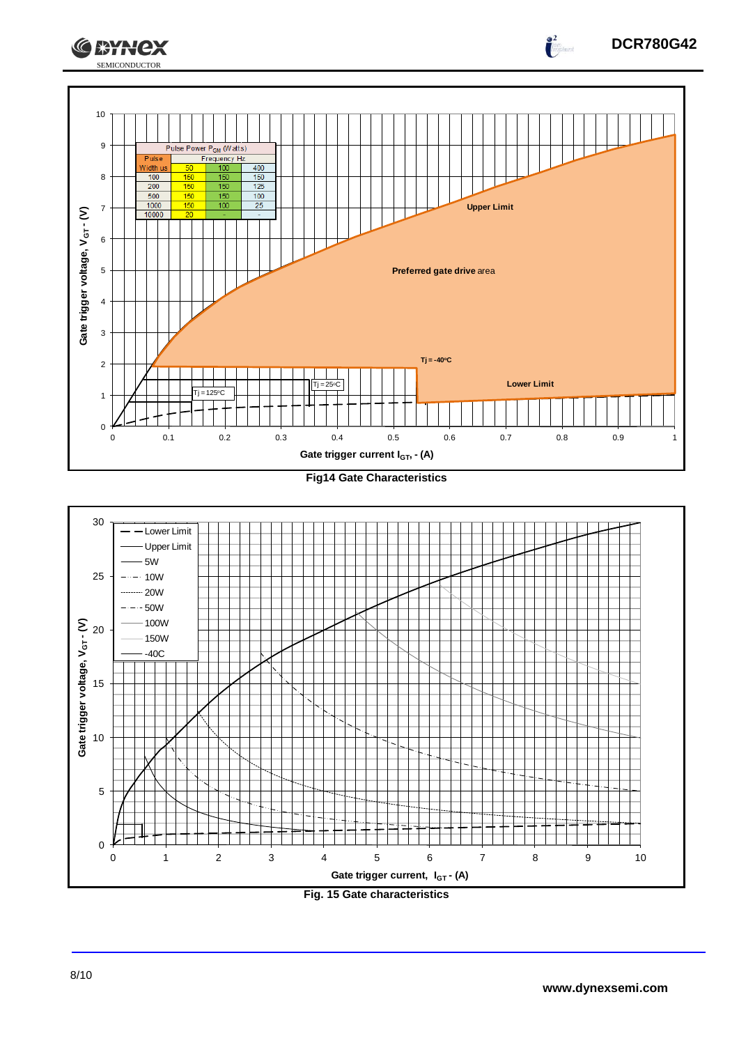



# **Fig. 15 Gate characteristics**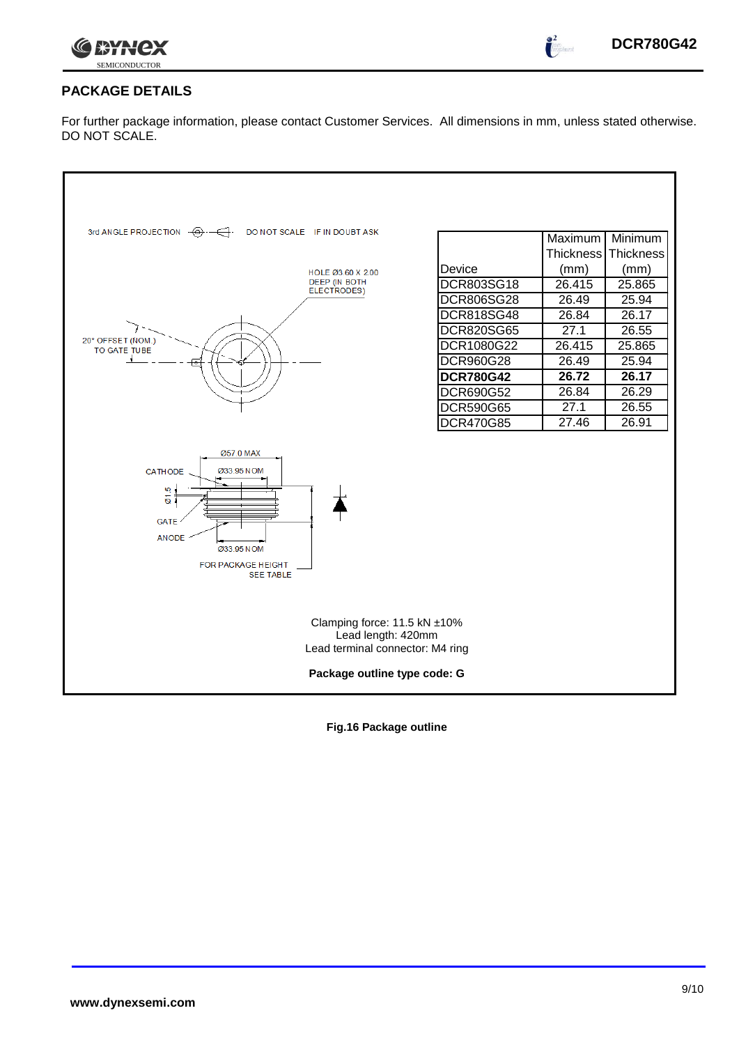

 $\int_0^2$ 

# **PACKAGE DETAILS**

For further package information, please contact Customer Services. All dimensions in mm, unless stated otherwise. DO NOT SCALE.



**Fig.16 Package outline**